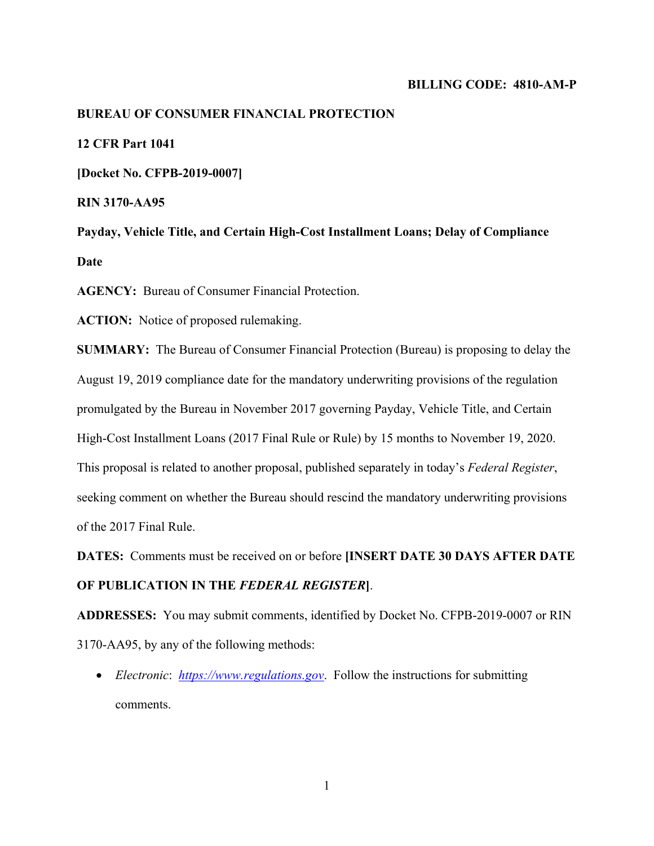### **BILLING CODE: 4810-AM-P**

# **BUREAU OF CONSUMER FINANCIAL PROTECTION**

**12 CFR Part 1041**

**[Docket No. CFPB-2019-0007]** 

**RIN 3170-AA95** 

**Payday, Vehicle Title, and Certain High-Cost Installment Loans; Delay of Compliance Date** 

**AGENCY:** Bureau of Consumer Financial Protection.

**ACTION:** Notice of proposed rulemaking.

**SUMMARY:** The Bureau of Consumer Financial Protection (Bureau) is proposing to delay the August 19, 2019 compliance date for the mandatory underwriting provisions of the regulation promulgated by the Bureau in November 2017 governing Payday, Vehicle Title, and Certain High-Cost Installment Loans (2017 Final Rule or Rule) by 15 months to November 19, 2020. This proposal is related to another proposal, published separately in today's *Federal Register*, seeking comment on whether the Bureau should rescind the mandatory underwriting provisions of the 2017 Final Rule.

**DATES:** Comments must be received on or before **[INSERT DATE 30 DAYS AFTER DATE OF PUBLICATION IN THE** *FEDERAL REGISTER***]**.

**ADDRESSES:** You may submit comments, identified by Docket No. CFPB-2019-0007 or RIN 3170-AA95, by any of the following methods:

 *Electronic*: *https://www.regulations.gov*. Follow the instructions for submitting comments.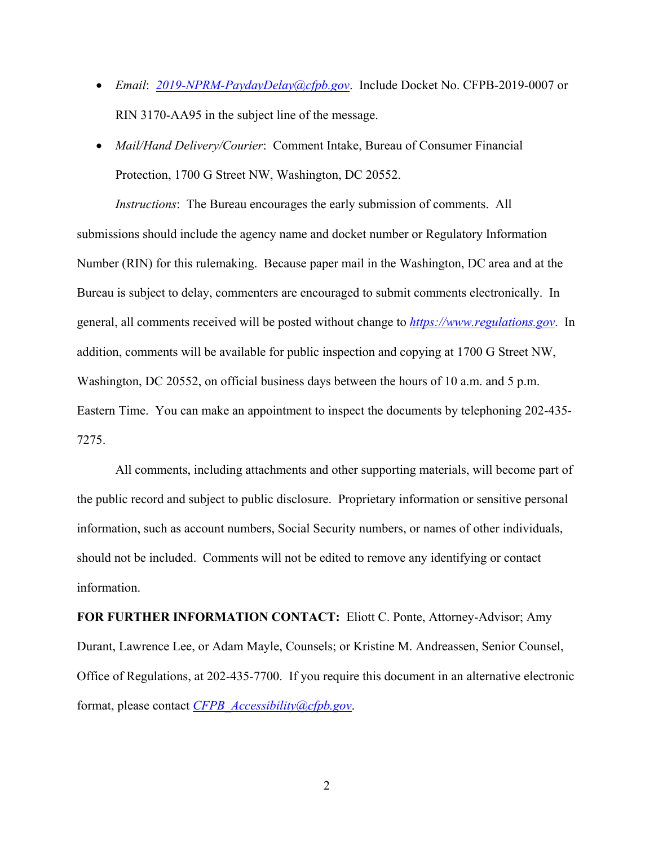- *Email*: *2019-NPRM-PaydayDelay@cfpb.gov*. Include Docket No. CFPB-2019-0007 or RIN 3170-AA95 in the subject line of the message.
- *Mail/Hand Delivery/Courier*: Comment Intake, Bureau of Consumer Financial Protection, 1700 G Street NW, Washington, DC 20552.

*Instructions*: The Bureau encourages the early submission of comments. All submissions should include the agency name and docket number or Regulatory Information Number (RIN) for this rulemaking. Because paper mail in the Washington, DC area and at the Bureau is subject to delay, commenters are encouraged to submit comments electronically. In general, all comments received will be posted without change to *https://www.regulations.gov*. In addition, comments will be available for public inspection and copying at 1700 G Street NW, Washington, DC 20552, on official business days between the hours of 10 a.m. and 5 p.m. Eastern Time. You can make an appointment to inspect the documents by telephoning 202-435- 7275.

All comments, including attachments and other supporting materials, will become part of the public record and subject to public disclosure. Proprietary information or sensitive personal information, such as account numbers, Social Security numbers, or names of other individuals, should not be included. Comments will not be edited to remove any identifying or contact information.

**FOR FURTHER INFORMATION CONTACT:** Eliott C. Ponte, Attorney-Advisor; Amy Durant, Lawrence Lee, or Adam Mayle, Counsels; or Kristine M. Andreassen, Senior Counsel, Office of Regulations, at 202-435-7700. If you require this document in an alternative electronic format, please contact *CFPB\_Accessibility@cfpb.gov*.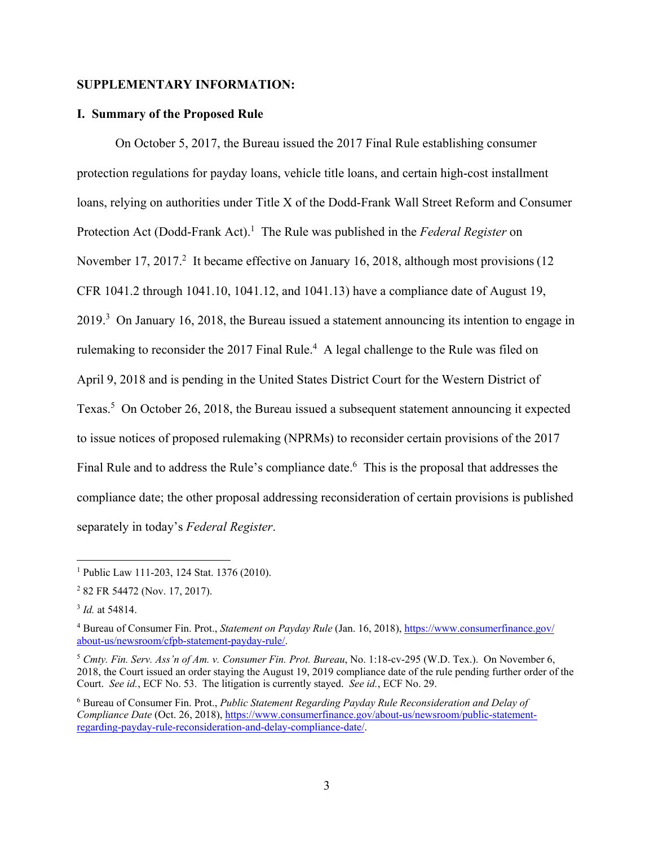# **SUPPLEMENTARY INFORMATION:**

## **I. Summary of the Proposed Rule**

On October 5, 2017, the Bureau issued the 2017 Final Rule establishing consumer protection regulations for payday loans, vehicle title loans, and certain high-cost installment loans, relying on authorities under Title X of the Dodd-Frank Wall Street Reform and Consumer Protection Act (Dodd-Frank Act).<sup>1</sup> The Rule was published in the *Federal Register* on November 17, 2017.<sup>2</sup> It became effective on January 16, 2018, although most provisions (12 CFR 1041.2 through 1041.10, 1041.12, and 1041.13) have a compliance date of August 19,  $2019<sup>3</sup>$  On January 16, 2018, the Bureau issued a statement announcing its intention to engage in rulemaking to reconsider the 2017 Final Rule.<sup>4</sup> A legal challenge to the Rule was filed on April 9, 2018 and is pending in the United States District Court for the Western District of Texas.<sup>5</sup> On October 26, 2018, the Bureau issued a subsequent statement announcing it expected to issue notices of proposed rulemaking (NPRMs) to reconsider certain provisions of the 2017 Final Rule and to address the Rule's compliance date.  $6$  This is the proposal that addresses the compliance date; the other proposal addressing reconsideration of certain provisions is published separately in today's *Federal Register*.

<sup>&</sup>lt;sup>1</sup> Public Law 111-203, 124 Stat. 1376 (2010).

<sup>2</sup> 82 FR 54472 (Nov. 17, 2017).

<sup>3</sup> *Id.* at 54814.

<sup>4</sup> Bureau of Consumer Fin. Prot., *Statement on Payday Rule* (Jan. 16, 2018), https://www.consumerfinance.gov/ about-us/newsroom/cfpb-statement-payday-rule/.

<sup>5</sup> *Cmty. Fin. Serv. Ass'n of Am. v. Consumer Fin. Prot. Bureau*, No. 1:18-cv-295 (W.D. Tex.). On November 6, 2018, the Court issued an order staying the August 19, 2019 compliance date of the rule pending further order of the Court. *See id.*, ECF No. 53. The litigation is currently stayed. *See id.*, ECF No. 29.

<sup>6</sup> Bureau of Consumer Fin. Prot., *Public Statement Regarding Payday Rule Reconsideration and Delay of Compliance Date* (Oct. 26, 2018), https://www.consumerfinance.gov/about-us/newsroom/public-statementregarding-payday-rule-reconsideration-and-delay-compliance-date/.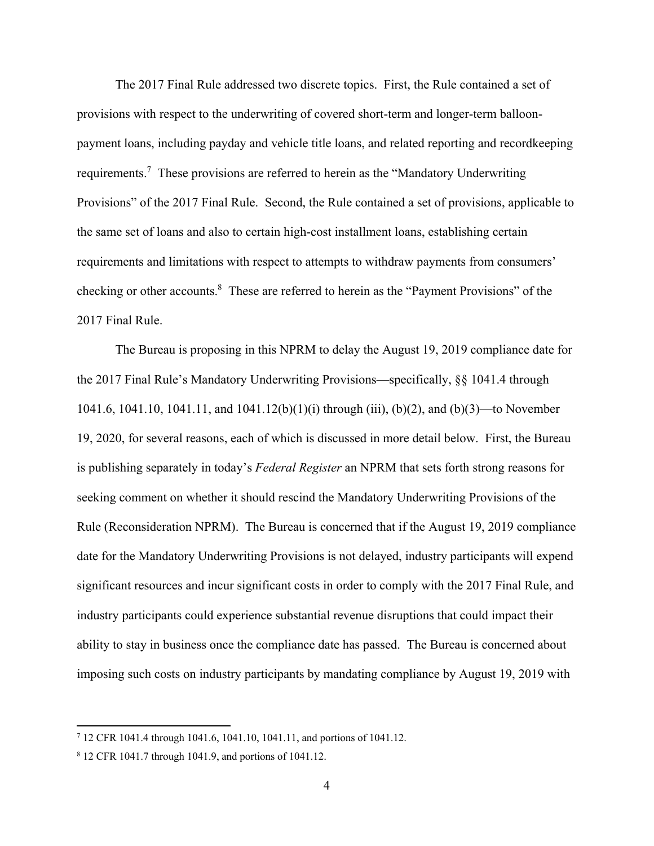The 2017 Final Rule addressed two discrete topics. First, the Rule contained a set of provisions with respect to the underwriting of covered short-term and longer-term balloonpayment loans, including payday and vehicle title loans, and related reporting and recordkeeping requirements.<sup>7</sup> These provisions are referred to herein as the "Mandatory Underwriting Provisions" of the 2017 Final Rule. Second, the Rule contained a set of provisions, applicable to the same set of loans and also to certain high-cost installment loans, establishing certain requirements and limitations with respect to attempts to withdraw payments from consumers' checking or other accounts.<sup>8</sup> These are referred to herein as the "Payment Provisions" of the 2017 Final Rule.

The Bureau is proposing in this NPRM to delay the August 19, 2019 compliance date for the 2017 Final Rule's Mandatory Underwriting Provisions—specifically, §§ 1041.4 through 1041.6, 1041.10, 1041.11, and 1041.12(b)(1)(i) through (iii), (b)(2), and (b)(3)—to November 19, 2020, for several reasons, each of which is discussed in more detail below. First, the Bureau is publishing separately in today's *Federal Register* an NPRM that sets forth strong reasons for seeking comment on whether it should rescind the Mandatory Underwriting Provisions of the Rule (Reconsideration NPRM). The Bureau is concerned that if the August 19, 2019 compliance date for the Mandatory Underwriting Provisions is not delayed, industry participants will expend significant resources and incur significant costs in order to comply with the 2017 Final Rule, and industry participants could experience substantial revenue disruptions that could impact their ability to stay in business once the compliance date has passed. The Bureau is concerned about imposing such costs on industry participants by mandating compliance by August 19, 2019 with

<sup>7</sup> 12 CFR 1041.4 through 1041.6, 1041.10, 1041.11, and portions of 1041.12.

<sup>8</sup> 12 CFR 1041.7 through 1041.9, and portions of 1041.12.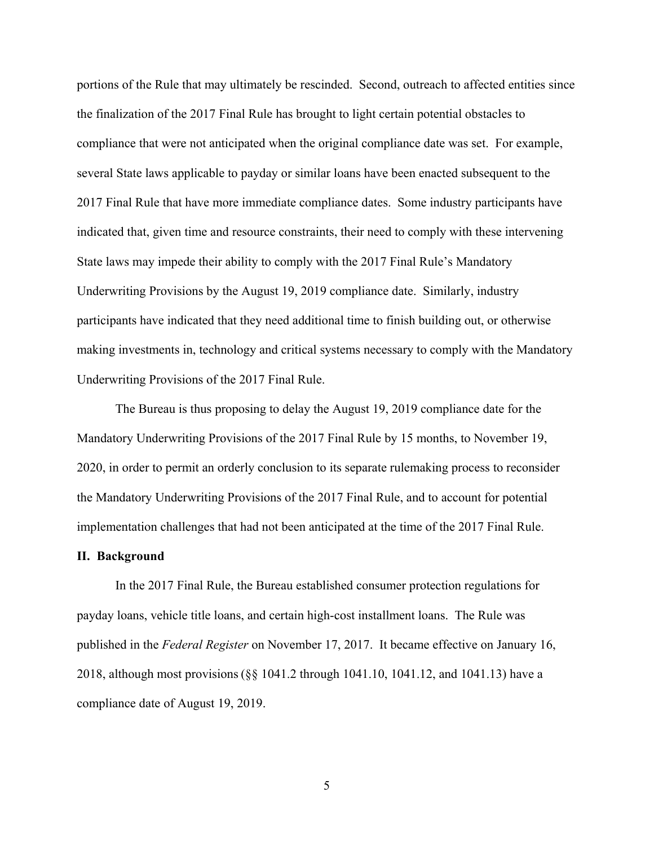portions of the Rule that may ultimately be rescinded. Second, outreach to affected entities since the finalization of the 2017 Final Rule has brought to light certain potential obstacles to compliance that were not anticipated when the original compliance date was set. For example, several State laws applicable to payday or similar loans have been enacted subsequent to the 2017 Final Rule that have more immediate compliance dates. Some industry participants have indicated that, given time and resource constraints, their need to comply with these intervening State laws may impede their ability to comply with the 2017 Final Rule's Mandatory Underwriting Provisions by the August 19, 2019 compliance date. Similarly, industry participants have indicated that they need additional time to finish building out, or otherwise making investments in, technology and critical systems necessary to comply with the Mandatory Underwriting Provisions of the 2017 Final Rule.

The Bureau is thus proposing to delay the August 19, 2019 compliance date for the Mandatory Underwriting Provisions of the 2017 Final Rule by 15 months, to November 19, 2020, in order to permit an orderly conclusion to its separate rulemaking process to reconsider the Mandatory Underwriting Provisions of the 2017 Final Rule, and to account for potential implementation challenges that had not been anticipated at the time of the 2017 Final Rule.

# **II. Background**

In the 2017 Final Rule, the Bureau established consumer protection regulations for payday loans, vehicle title loans, and certain high-cost installment loans. The Rule was published in the *Federal Register* on November 17, 2017. It became effective on January 16, 2018, although most provisions (§§ 1041.2 through 1041.10, 1041.12, and 1041.13) have a compliance date of August 19, 2019.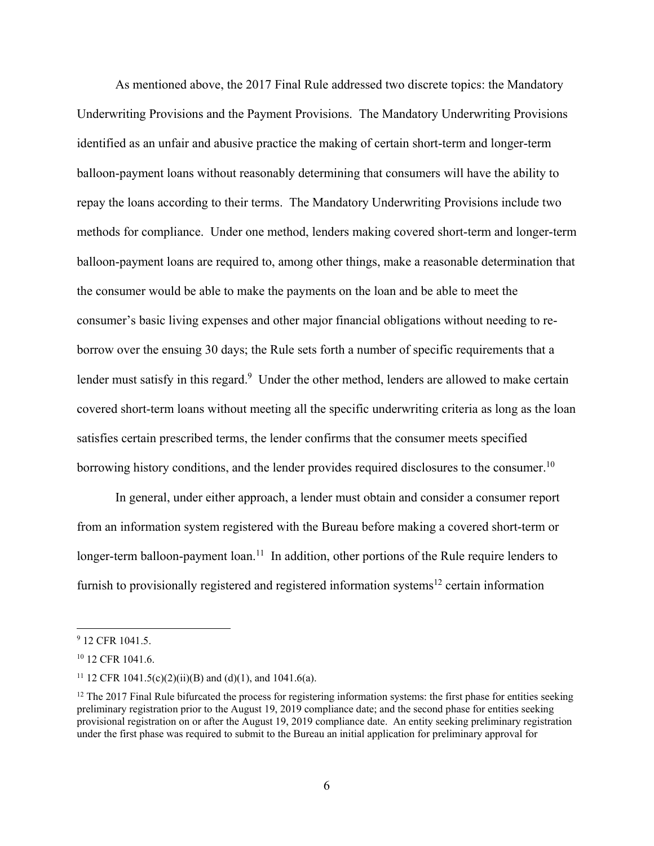As mentioned above, the 2017 Final Rule addressed two discrete topics: the Mandatory Underwriting Provisions and the Payment Provisions. The Mandatory Underwriting Provisions identified as an unfair and abusive practice the making of certain short-term and longer-term balloon-payment loans without reasonably determining that consumers will have the ability to repay the loans according to their terms. The Mandatory Underwriting Provisions include two methods for compliance. Under one method, lenders making covered short-term and longer-term balloon-payment loans are required to, among other things, make a reasonable determination that the consumer would be able to make the payments on the loan and be able to meet the consumer's basic living expenses and other major financial obligations without needing to reborrow over the ensuing 30 days; the Rule sets forth a number of specific requirements that a lender must satisfy in this regard.<sup>9</sup> Under the other method, lenders are allowed to make certain covered short-term loans without meeting all the specific underwriting criteria as long as the loan satisfies certain prescribed terms, the lender confirms that the consumer meets specified borrowing history conditions, and the lender provides required disclosures to the consumer.<sup>10</sup>

In general, under either approach, a lender must obtain and consider a consumer report from an information system registered with the Bureau before making a covered short-term or longer-term balloon-payment loan.<sup>11</sup> In addition, other portions of the Rule require lenders to furnish to provisionally registered and registered information systems<sup>12</sup> certain information

<sup>&</sup>lt;sup>9</sup> 12 CFR 1041.5.

<sup>&</sup>lt;sup>10</sup> 12 CFR 1041.6.

<sup>&</sup>lt;sup>11</sup> 12 CFR 1041.5(c)(2)(ii)(B) and (d)(1), and 1041.6(a).

 $12$  The 2017 Final Rule bifurcated the process for registering information systems: the first phase for entities seeking preliminary registration prior to the August 19, 2019 compliance date; and the second phase for entities seeking provisional registration on or after the August 19, 2019 compliance date. An entity seeking preliminary registration under the first phase was required to submit to the Bureau an initial application for preliminary approval for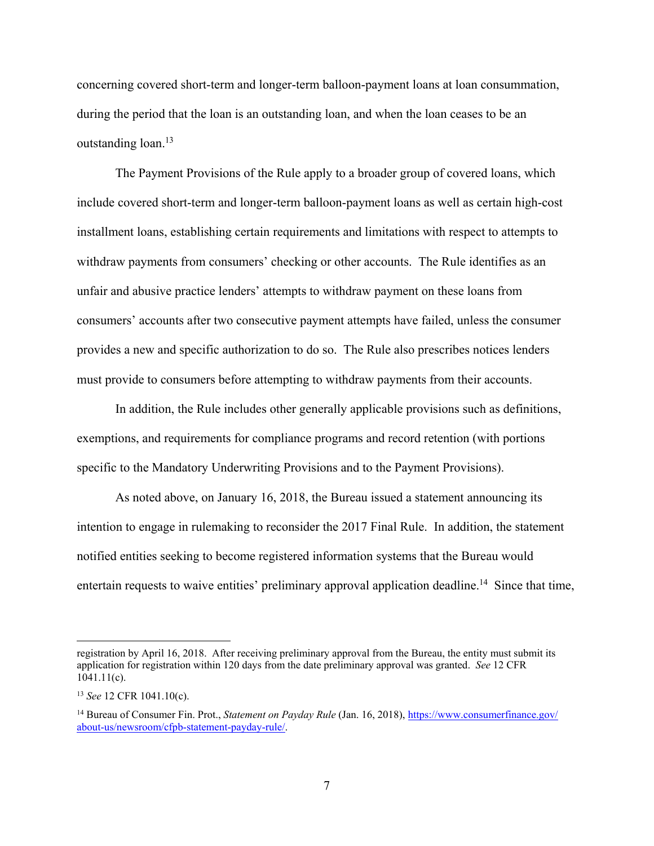concerning covered short-term and longer-term balloon-payment loans at loan consummation, during the period that the loan is an outstanding loan, and when the loan ceases to be an outstanding loan.<sup>13</sup>

The Payment Provisions of the Rule apply to a broader group of covered loans, which include covered short-term and longer-term balloon-payment loans as well as certain high-cost installment loans, establishing certain requirements and limitations with respect to attempts to withdraw payments from consumers' checking or other accounts. The Rule identifies as an unfair and abusive practice lenders' attempts to withdraw payment on these loans from consumers' accounts after two consecutive payment attempts have failed, unless the consumer provides a new and specific authorization to do so. The Rule also prescribes notices lenders must provide to consumers before attempting to withdraw payments from their accounts.

In addition, the Rule includes other generally applicable provisions such as definitions, exemptions, and requirements for compliance programs and record retention (with portions specific to the Mandatory Underwriting Provisions and to the Payment Provisions).

As noted above, on January 16, 2018, the Bureau issued a statement announcing its intention to engage in rulemaking to reconsider the 2017 Final Rule. In addition, the statement notified entities seeking to become registered information systems that the Bureau would entertain requests to waive entities' preliminary approval application deadline.<sup>14</sup> Since that time,

registration by April 16, 2018. After receiving preliminary approval from the Bureau, the entity must submit its application for registration within 120 days from the date preliminary approval was granted. *See* 12 CFR 1041.11(c).

<sup>13</sup> *See* 12 CFR 1041.10(c).

<sup>14</sup> Bureau of Consumer Fin. Prot., *Statement on Payday Rule* (Jan. 16, 2018), https://www.consumerfinance.gov/ about-us/newsroom/cfpb-statement-payday-rule/.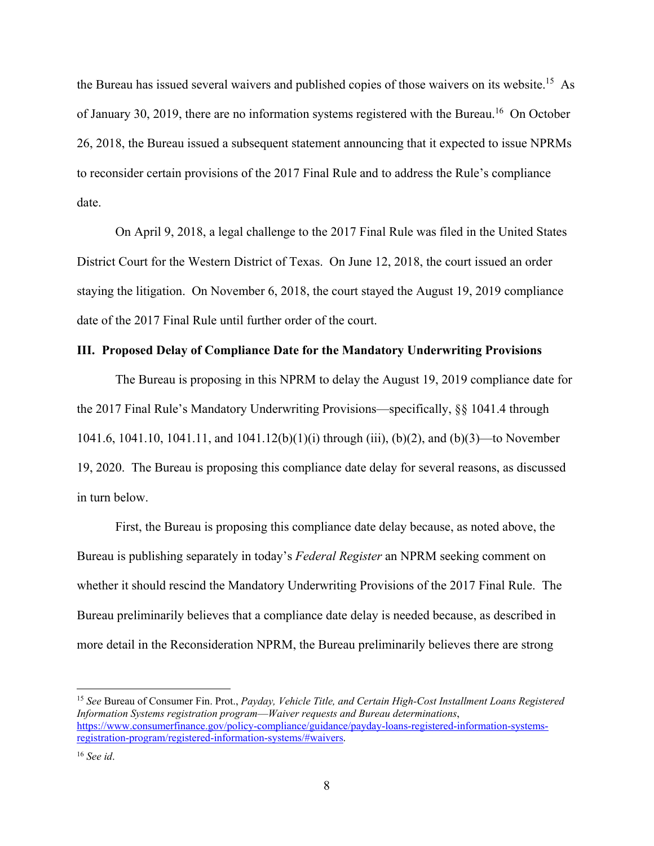the Bureau has issued several waivers and published copies of those waivers on its website.<sup>15</sup> As of January 30, 2019, there are no information systems registered with the Bureau.<sup>16</sup> On October 26, 2018, the Bureau issued a subsequent statement announcing that it expected to issue NPRMs to reconsider certain provisions of the 2017 Final Rule and to address the Rule's compliance date.

On April 9, 2018, a legal challenge to the 2017 Final Rule was filed in the United States District Court for the Western District of Texas. On June 12, 2018, the court issued an order staying the litigation. On November 6, 2018, the court stayed the August 19, 2019 compliance date of the 2017 Final Rule until further order of the court.

## **III. Proposed Delay of Compliance Date for the Mandatory Underwriting Provisions**

The Bureau is proposing in this NPRM to delay the August 19, 2019 compliance date for the 2017 Final Rule's Mandatory Underwriting Provisions—specifically, §§ 1041.4 through 1041.6, 1041.10, 1041.11, and 1041.12(b)(1)(i) through (iii), (b)(2), and (b)(3)—to November 19, 2020. The Bureau is proposing this compliance date delay for several reasons, as discussed in turn below.

First, the Bureau is proposing this compliance date delay because, as noted above, the Bureau is publishing separately in today's *Federal Register* an NPRM seeking comment on whether it should rescind the Mandatory Underwriting Provisions of the 2017 Final Rule. The Bureau preliminarily believes that a compliance date delay is needed because, as described in more detail in the Reconsideration NPRM, the Bureau preliminarily believes there are strong

<sup>15</sup> *See* Bureau of Consumer Fin. Prot., *Payday, Vehicle Title, and Certain High-Cost Installment Loans Registered Information Systems registration program*—*Waiver requests and Bureau determinations*, https://www.consumerfinance.gov/policy-compliance/guidance/payday-loans-registered-information-systemsregistration-program/registered-information-systems/#waivers.

<sup>16</sup> *See id*.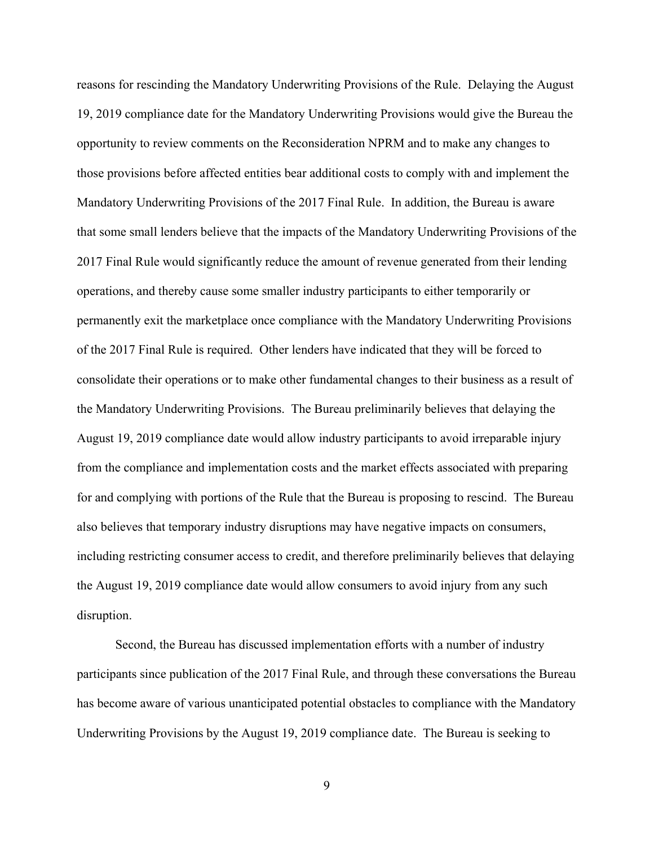reasons for rescinding the Mandatory Underwriting Provisions of the Rule. Delaying the August 19, 2019 compliance date for the Mandatory Underwriting Provisions would give the Bureau the opportunity to review comments on the Reconsideration NPRM and to make any changes to those provisions before affected entities bear additional costs to comply with and implement the Mandatory Underwriting Provisions of the 2017 Final Rule. In addition, the Bureau is aware that some small lenders believe that the impacts of the Mandatory Underwriting Provisions of the 2017 Final Rule would significantly reduce the amount of revenue generated from their lending operations, and thereby cause some smaller industry participants to either temporarily or permanently exit the marketplace once compliance with the Mandatory Underwriting Provisions of the 2017 Final Rule is required. Other lenders have indicated that they will be forced to consolidate their operations or to make other fundamental changes to their business as a result of the Mandatory Underwriting Provisions. The Bureau preliminarily believes that delaying the August 19, 2019 compliance date would allow industry participants to avoid irreparable injury from the compliance and implementation costs and the market effects associated with preparing for and complying with portions of the Rule that the Bureau is proposing to rescind. The Bureau also believes that temporary industry disruptions may have negative impacts on consumers, including restricting consumer access to credit, and therefore preliminarily believes that delaying the August 19, 2019 compliance date would allow consumers to avoid injury from any such disruption.

Second, the Bureau has discussed implementation efforts with a number of industry participants since publication of the 2017 Final Rule, and through these conversations the Bureau has become aware of various unanticipated potential obstacles to compliance with the Mandatory Underwriting Provisions by the August 19, 2019 compliance date. The Bureau is seeking to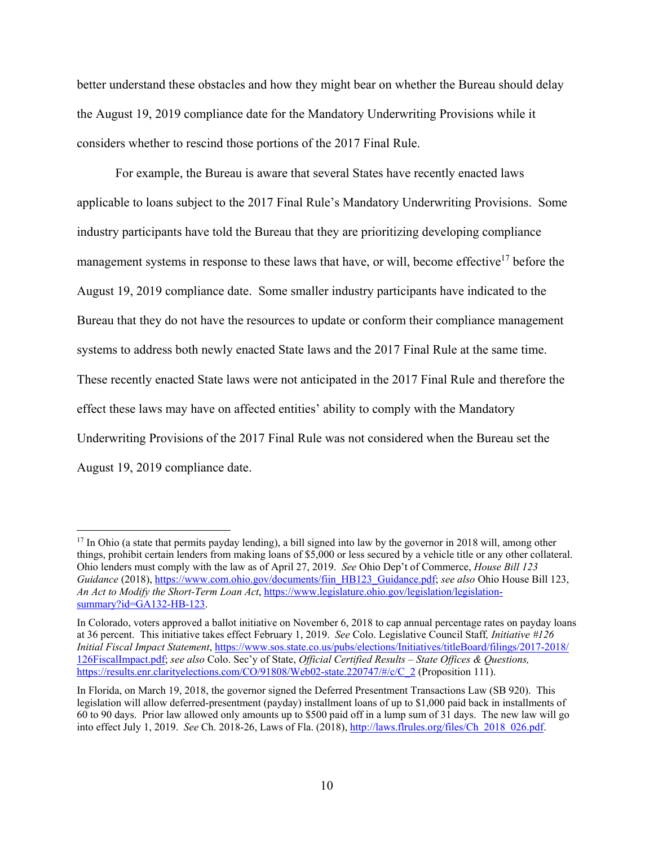better understand these obstacles and how they might bear on whether the Bureau should delay the August 19, 2019 compliance date for the Mandatory Underwriting Provisions while it considers whether to rescind those portions of the 2017 Final Rule.

For example, the Bureau is aware that several States have recently enacted laws applicable to loans subject to the 2017 Final Rule's Mandatory Underwriting Provisions. Some industry participants have told the Bureau that they are prioritizing developing compliance management systems in response to these laws that have, or will, become effective<sup>17</sup> before the August 19, 2019 compliance date. Some smaller industry participants have indicated to the Bureau that they do not have the resources to update or conform their compliance management systems to address both newly enacted State laws and the 2017 Final Rule at the same time. These recently enacted State laws were not anticipated in the 2017 Final Rule and therefore the effect these laws may have on affected entities' ability to comply with the Mandatory Underwriting Provisions of the 2017 Final Rule was not considered when the Bureau set the August 19, 2019 compliance date.

<sup>&</sup>lt;sup>17</sup> In Ohio (a state that permits payday lending), a bill signed into law by the governor in 2018 will, among other things, prohibit certain lenders from making loans of \$5,000 or less secured by a vehicle title or any other collateral. Ohio lenders must comply with the law as of April 27, 2019. *See* Ohio Dep't of Commerce, *House Bill 123 Guidance* (2018), https://www.com.ohio.gov/documents/fiin\_HB123\_Guidance.pdf; *see also* Ohio House Bill 123, *An Act to Modify the Short-Term Loan Act*, https://www.legislature.ohio.gov/legislation/legislationsummary?id=GA132-HB-123.

In Colorado, voters approved a ballot initiative on November 6, 2018 to cap annual percentage rates on payday loans at 36 percent. This initiative takes effect February 1, 2019. *See* Colo. Legislative Council Staff*, Initiative #126 Initial Fiscal Impact Statement*, https://www.sos.state.co.us/pubs/elections/Initiatives/titleBoard/filings/2017-2018/ 126FiscalImpact.pdf; *see also* Colo. Sec'y of State, *Official Certified Results – State Offices & Questions,*  https://results.enr.clarityelections.com/CO/91808/Web02-state.220747/#/c/C\_2 (Proposition 111).

In Florida, on March 19, 2018, the governor signed the Deferred Presentment Transactions Law (SB 920). This legislation will allow deferred-presentment (payday) installment loans of up to \$1,000 paid back in installments of 60 to 90 days. Prior law allowed only amounts up to \$500 paid off in a lump sum of 31 days. The new law will go into effect July 1, 2019. *See* Ch. 2018-26, Laws of Fla. (2018), http://laws.flrules.org/files/Ch\_2018\_026.pdf.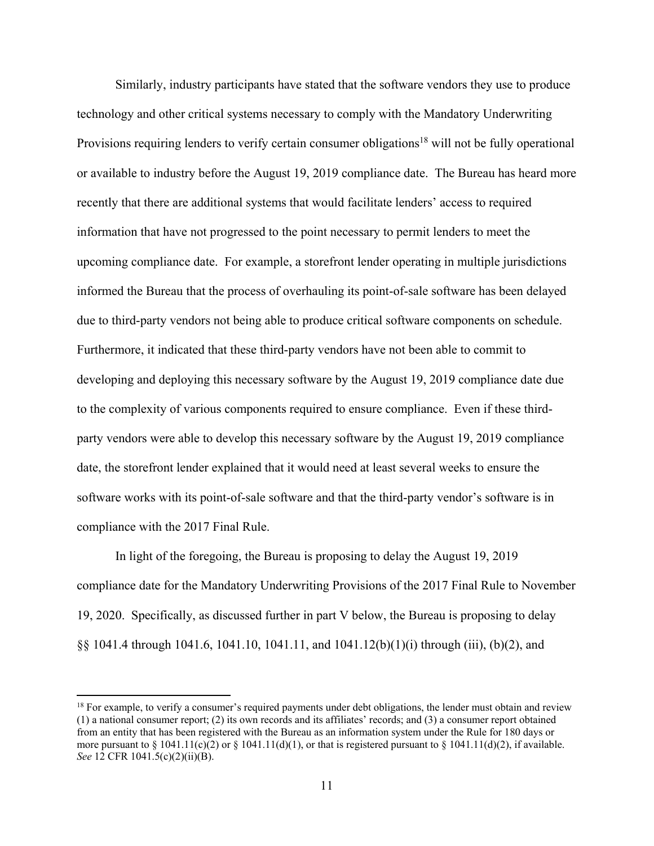Similarly, industry participants have stated that the software vendors they use to produce technology and other critical systems necessary to comply with the Mandatory Underwriting Provisions requiring lenders to verify certain consumer obligations<sup>18</sup> will not be fully operational or available to industry before the August 19, 2019 compliance date. The Bureau has heard more recently that there are additional systems that would facilitate lenders' access to required information that have not progressed to the point necessary to permit lenders to meet the upcoming compliance date. For example, a storefront lender operating in multiple jurisdictions informed the Bureau that the process of overhauling its point-of-sale software has been delayed due to third-party vendors not being able to produce critical software components on schedule. Furthermore, it indicated that these third-party vendors have not been able to commit to developing and deploying this necessary software by the August 19, 2019 compliance date due to the complexity of various components required to ensure compliance. Even if these thirdparty vendors were able to develop this necessary software by the August 19, 2019 compliance date, the storefront lender explained that it would need at least several weeks to ensure the software works with its point-of-sale software and that the third-party vendor's software is in compliance with the 2017 Final Rule.

In light of the foregoing, the Bureau is proposing to delay the August 19, 2019 compliance date for the Mandatory Underwriting Provisions of the 2017 Final Rule to November 19, 2020. Specifically, as discussed further in part V below, the Bureau is proposing to delay §§ 1041.4 through 1041.6, 1041.10, 1041.11, and 1041.12(b)(1)(i) through (iii), (b)(2), and

 $18$  For example, to verify a consumer's required payments under debt obligations, the lender must obtain and review (1) a national consumer report; (2) its own records and its affiliates' records; and (3) a consumer report obtained from an entity that has been registered with the Bureau as an information system under the Rule for 180 days or more pursuant to  $\S 1041.11(c)(2)$  or  $\S 1041.11(d)(1)$ , or that is registered pursuant to  $\S 1041.11(d)(2)$ , if available. *See* 12 CFR 1041.5(c)(2)(ii)(B).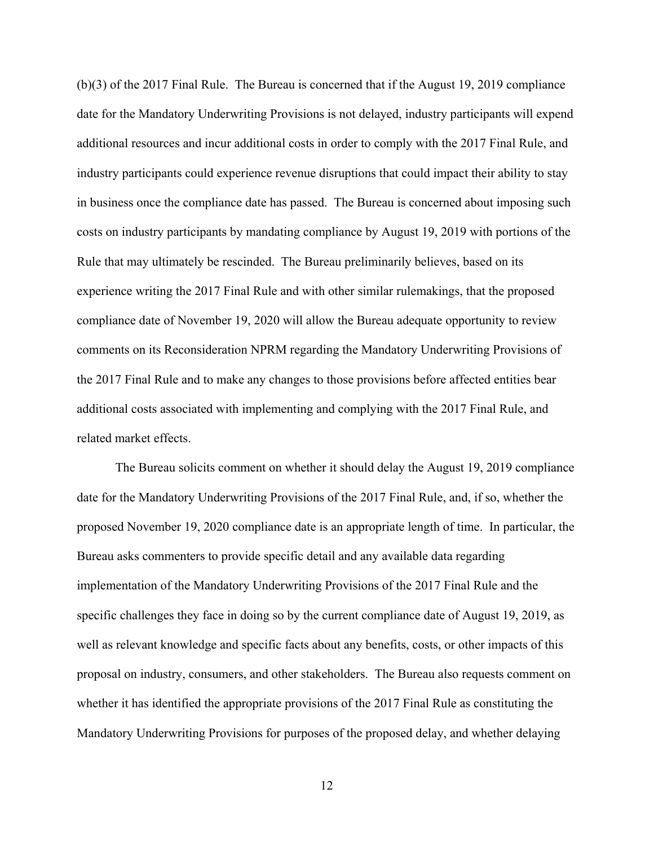(b)(3) of the 2017 Final Rule. The Bureau is concerned that if the August 19, 2019 compliance date for the Mandatory Underwriting Provisions is not delayed, industry participants will expend additional resources and incur additional costs in order to comply with the 2017 Final Rule, and industry participants could experience revenue disruptions that could impact their ability to stay in business once the compliance date has passed. The Bureau is concerned about imposing such costs on industry participants by mandating compliance by August 19, 2019 with portions of the Rule that may ultimately be rescinded. The Bureau preliminarily believes, based on its experience writing the 2017 Final Rule and with other similar rulemakings, that the proposed compliance date of November 19, 2020 will allow the Bureau adequate opportunity to review comments on its Reconsideration NPRM regarding the Mandatory Underwriting Provisions of the 2017 Final Rule and to make any changes to those provisions before affected entities bear additional costs associated with implementing and complying with the 2017 Final Rule, and related market effects.

The Bureau solicits comment on whether it should delay the August 19, 2019 compliance date for the Mandatory Underwriting Provisions of the 2017 Final Rule, and, if so, whether the proposed November 19, 2020 compliance date is an appropriate length of time. In particular, the Bureau asks commenters to provide specific detail and any available data regarding implementation of the Mandatory Underwriting Provisions of the 2017 Final Rule and the specific challenges they face in doing so by the current compliance date of August 19, 2019, as well as relevant knowledge and specific facts about any benefits, costs, or other impacts of this proposal on industry, consumers, and other stakeholders. The Bureau also requests comment on whether it has identified the appropriate provisions of the 2017 Final Rule as constituting the Mandatory Underwriting Provisions for purposes of the proposed delay, and whether delaying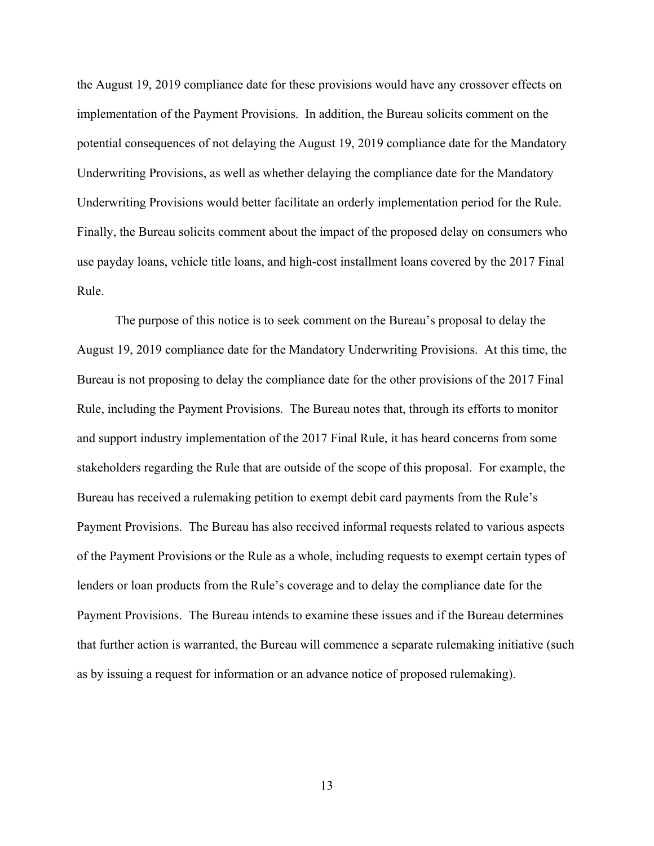the August 19, 2019 compliance date for these provisions would have any crossover effects on implementation of the Payment Provisions. In addition, the Bureau solicits comment on the potential consequences of not delaying the August 19, 2019 compliance date for the Mandatory Underwriting Provisions, as well as whether delaying the compliance date for the Mandatory Underwriting Provisions would better facilitate an orderly implementation period for the Rule. Finally, the Bureau solicits comment about the impact of the proposed delay on consumers who use payday loans, vehicle title loans, and high-cost installment loans covered by the 2017 Final Rule.

The purpose of this notice is to seek comment on the Bureau's proposal to delay the August 19, 2019 compliance date for the Mandatory Underwriting Provisions. At this time, the Bureau is not proposing to delay the compliance date for the other provisions of the 2017 Final Rule, including the Payment Provisions. The Bureau notes that, through its efforts to monitor and support industry implementation of the 2017 Final Rule, it has heard concerns from some stakeholders regarding the Rule that are outside of the scope of this proposal. For example, the Bureau has received a rulemaking petition to exempt debit card payments from the Rule's Payment Provisions. The Bureau has also received informal requests related to various aspects of the Payment Provisions or the Rule as a whole, including requests to exempt certain types of lenders or loan products from the Rule's coverage and to delay the compliance date for the Payment Provisions. The Bureau intends to examine these issues and if the Bureau determines that further action is warranted, the Bureau will commence a separate rulemaking initiative (such as by issuing a request for information or an advance notice of proposed rulemaking).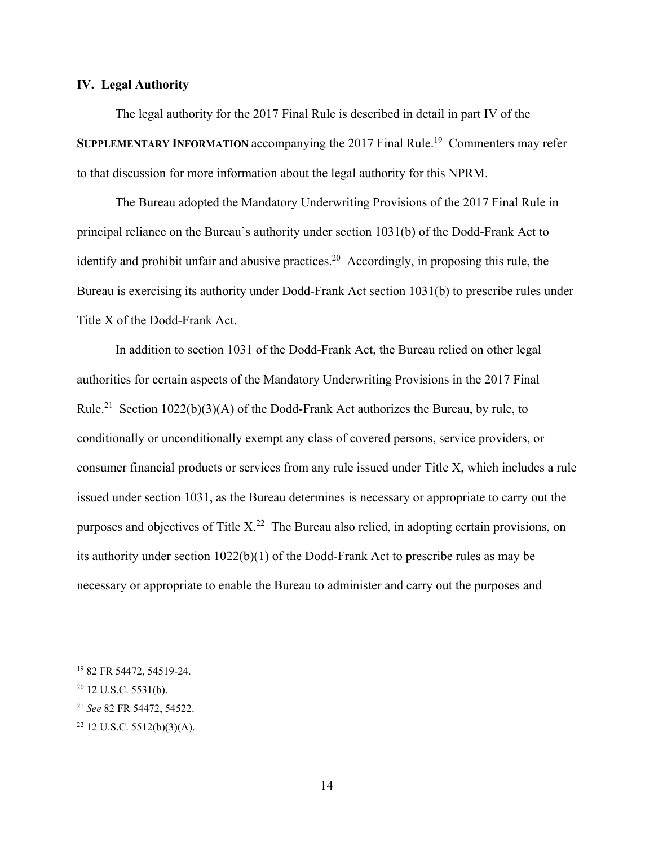# **IV. Legal Authority**

The legal authority for the 2017 Final Rule is described in detail in part IV of the **SUPPLEMENTARY INFORMATION accompanying the 2017 Final Rule.<sup>19</sup> Commenters may refer** to that discussion for more information about the legal authority for this NPRM.

The Bureau adopted the Mandatory Underwriting Provisions of the 2017 Final Rule in principal reliance on the Bureau's authority under section 1031(b) of the Dodd-Frank Act to identify and prohibit unfair and abusive practices.<sup>20</sup> Accordingly, in proposing this rule, the Bureau is exercising its authority under Dodd-Frank Act section 1031(b) to prescribe rules under Title X of the Dodd-Frank Act.

In addition to section 1031 of the Dodd-Frank Act, the Bureau relied on other legal authorities for certain aspects of the Mandatory Underwriting Provisions in the 2017 Final Rule.<sup>21</sup> Section 1022(b)(3)(A) of the Dodd-Frank Act authorizes the Bureau, by rule, to conditionally or unconditionally exempt any class of covered persons, service providers, or consumer financial products or services from any rule issued under Title X, which includes a rule issued under section 1031, as the Bureau determines is necessary or appropriate to carry out the purposes and objectives of Title  $X<sup>22</sup>$  The Bureau also relied, in adopting certain provisions, on its authority under section 1022(b)(1) of the Dodd-Frank Act to prescribe rules as may be necessary or appropriate to enable the Bureau to administer and carry out the purposes and

<sup>19 82</sup> FR 54472, 54519-24.

 $20$  12 U.S.C. 5531(b).

<sup>21</sup> *See* 82 FR 54472, 54522.

 $22$  12 U.S.C. 5512(b)(3)(A).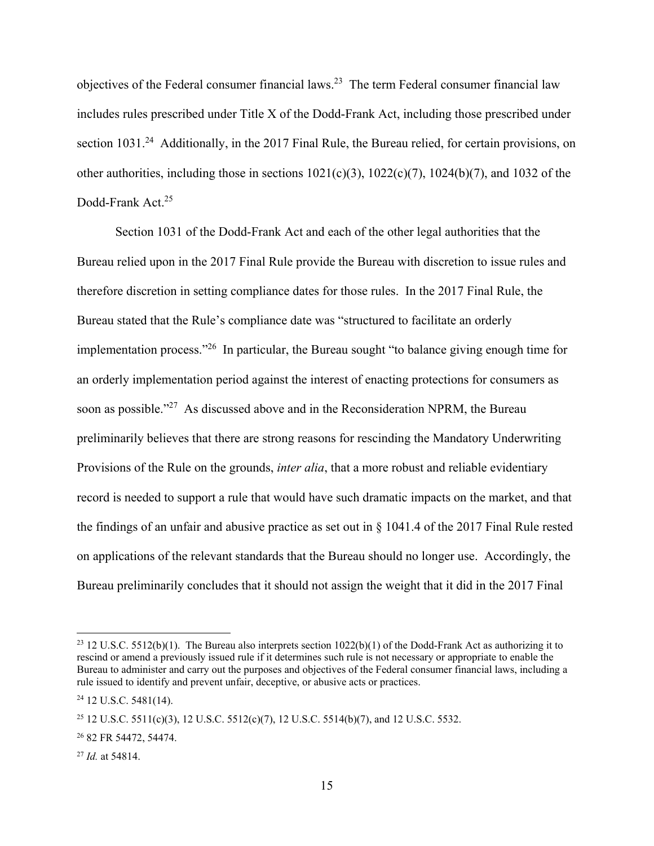objectives of the Federal consumer financial laws.23 The term Federal consumer financial law includes rules prescribed under Title X of the Dodd-Frank Act, including those prescribed under section 1031.<sup>24</sup> Additionally, in the 2017 Final Rule, the Bureau relied, for certain provisions, on other authorities, including those in sections  $1021(c)(3)$ ,  $1022(c)(7)$ ,  $1024(b)(7)$ , and  $1032$  of the Dodd-Frank Act.<sup>25</sup>

Section 1031 of the Dodd-Frank Act and each of the other legal authorities that the Bureau relied upon in the 2017 Final Rule provide the Bureau with discretion to issue rules and therefore discretion in setting compliance dates for those rules. In the 2017 Final Rule, the Bureau stated that the Rule's compliance date was "structured to facilitate an orderly implementation process."26 In particular, the Bureau sought "to balance giving enough time for an orderly implementation period against the interest of enacting protections for consumers as soon as possible."<sup>27</sup> As discussed above and in the Reconsideration NPRM, the Bureau preliminarily believes that there are strong reasons for rescinding the Mandatory Underwriting Provisions of the Rule on the grounds, *inter alia*, that a more robust and reliable evidentiary record is needed to support a rule that would have such dramatic impacts on the market, and that the findings of an unfair and abusive practice as set out in  $\S$  1041.4 of the 2017 Final Rule rested on applications of the relevant standards that the Bureau should no longer use. Accordingly, the Bureau preliminarily concludes that it should not assign the weight that it did in the 2017 Final

<sup>&</sup>lt;sup>23</sup> 12 U.S.C. 5512(b)(1). The Bureau also interprets section  $1022(b)(1)$  of the Dodd-Frank Act as authorizing it to rescind or amend a previously issued rule if it determines such rule is not necessary or appropriate to enable the Bureau to administer and carry out the purposes and objectives of the Federal consumer financial laws, including a rule issued to identify and prevent unfair, deceptive, or abusive acts or practices.

<sup>24 12</sup> U.S.C. 5481(14).

<sup>&</sup>lt;sup>25</sup> 12 U.S.C. 5511(c)(3), 12 U.S.C. 5512(c)(7), 12 U.S.C. 5514(b)(7), and 12 U.S.C. 5532.

<sup>26 82</sup> FR 54472, 54474.

<sup>27</sup> *Id.* at 54814.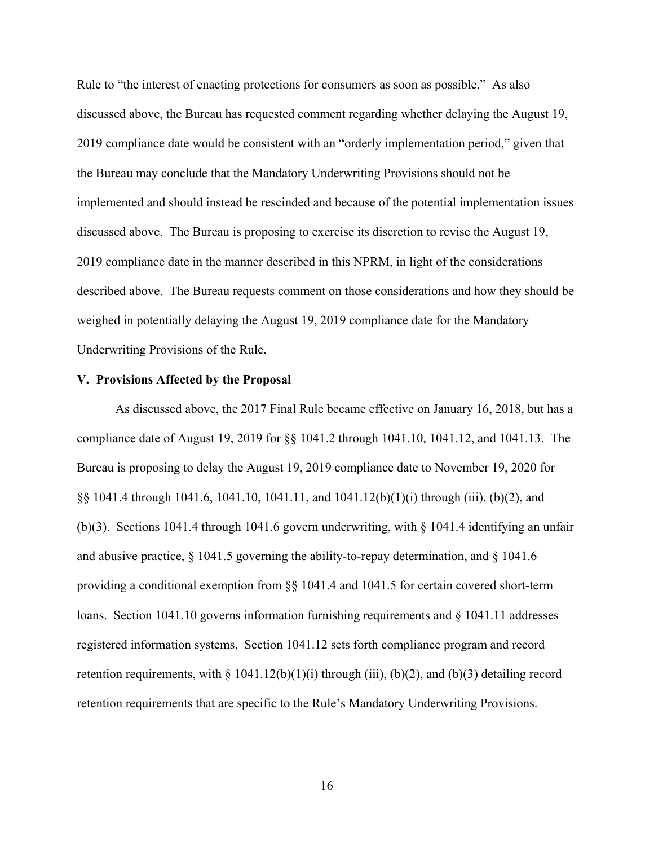Rule to "the interest of enacting protections for consumers as soon as possible." As also discussed above, the Bureau has requested comment regarding whether delaying the August 19, 2019 compliance date would be consistent with an "orderly implementation period," given that the Bureau may conclude that the Mandatory Underwriting Provisions should not be implemented and should instead be rescinded and because of the potential implementation issues discussed above. The Bureau is proposing to exercise its discretion to revise the August 19, 2019 compliance date in the manner described in this NPRM, in light of the considerations described above. The Bureau requests comment on those considerations and how they should be weighed in potentially delaying the August 19, 2019 compliance date for the Mandatory Underwriting Provisions of the Rule.

## **V. Provisions Affected by the Proposal**

As discussed above, the 2017 Final Rule became effective on January 16, 2018, but has a compliance date of August 19, 2019 for §§ 1041.2 through 1041.10, 1041.12, and 1041.13. The Bureau is proposing to delay the August 19, 2019 compliance date to November 19, 2020 for §§ 1041.4 through 1041.6, 1041.10, 1041.11, and 1041.12(b)(1)(i) through (iii), (b)(2), and (b)(3). Sections 1041.4 through 1041.6 govern underwriting, with  $\S$  1041.4 identifying an unfair and abusive practice, § 1041.5 governing the ability-to-repay determination, and § 1041.6 providing a conditional exemption from §§ 1041.4 and 1041.5 for certain covered short-term loans. Section 1041.10 governs information furnishing requirements and § 1041.11 addresses registered information systems. Section 1041.12 sets forth compliance program and record retention requirements, with § 1041.12(b)(1)(i) through (iii), (b)(2), and (b)(3) detailing record retention requirements that are specific to the Rule's Mandatory Underwriting Provisions.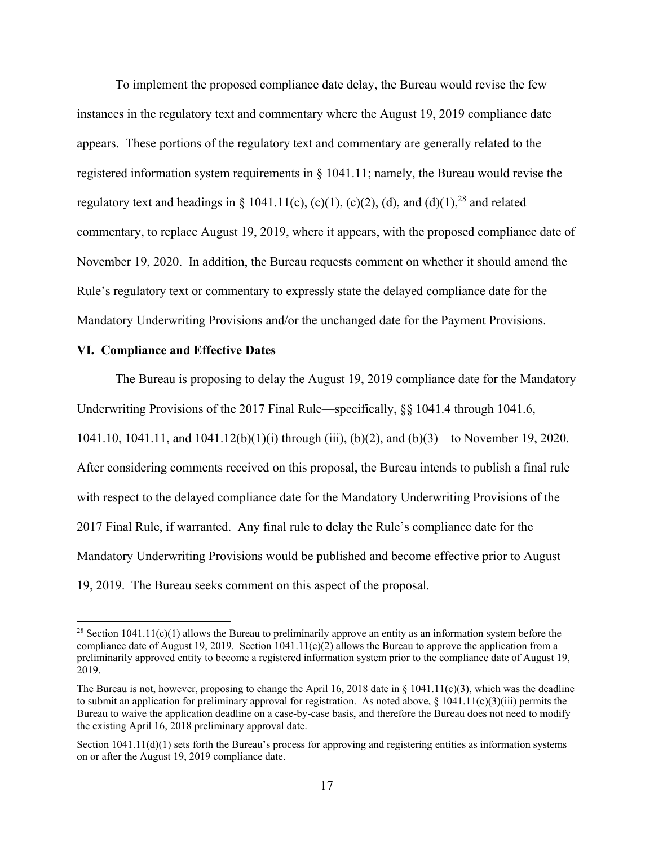To implement the proposed compliance date delay, the Bureau would revise the few instances in the regulatory text and commentary where the August 19, 2019 compliance date appears. These portions of the regulatory text and commentary are generally related to the registered information system requirements in § 1041.11; namely, the Bureau would revise the regulatory text and headings in § 1041.11(c), (c)(1), (c)(2), (d), and (d)(1),<sup>28</sup> and related commentary, to replace August 19, 2019, where it appears, with the proposed compliance date of November 19, 2020. In addition, the Bureau requests comment on whether it should amend the Rule's regulatory text or commentary to expressly state the delayed compliance date for the Mandatory Underwriting Provisions and/or the unchanged date for the Payment Provisions.

# **VI. Compliance and Effective Dates**

 $\overline{a}$ 

The Bureau is proposing to delay the August 19, 2019 compliance date for the Mandatory Underwriting Provisions of the 2017 Final Rule—specifically, §§ 1041.4 through 1041.6, 1041.10, 1041.11, and 1041.12(b)(1)(i) through (iii), (b)(2), and (b)(3)—to November 19, 2020. After considering comments received on this proposal, the Bureau intends to publish a final rule with respect to the delayed compliance date for the Mandatory Underwriting Provisions of the 2017 Final Rule, if warranted. Any final rule to delay the Rule's compliance date for the Mandatory Underwriting Provisions would be published and become effective prior to August 19, 2019. The Bureau seeks comment on this aspect of the proposal.

<sup>&</sup>lt;sup>28</sup> Section 1041.11(c)(1) allows the Bureau to preliminarily approve an entity as an information system before the compliance date of August 19, 2019. Section  $1041.11(c)(2)$  allows the Bureau to approve the application from a preliminarily approved entity to become a registered information system prior to the compliance date of August 19, 2019.

The Bureau is not, however, proposing to change the April 16, 2018 date in  $\S$  1041.11(c)(3), which was the deadline to submit an application for preliminary approval for registration. As noted above,  $\S 1041.11(c)(3)(iii)$  permits the Bureau to waive the application deadline on a case-by-case basis, and therefore the Bureau does not need to modify the existing April 16, 2018 preliminary approval date.

Section  $1041.11(d)(1)$  sets forth the Bureau's process for approving and registering entities as information systems on or after the August 19, 2019 compliance date.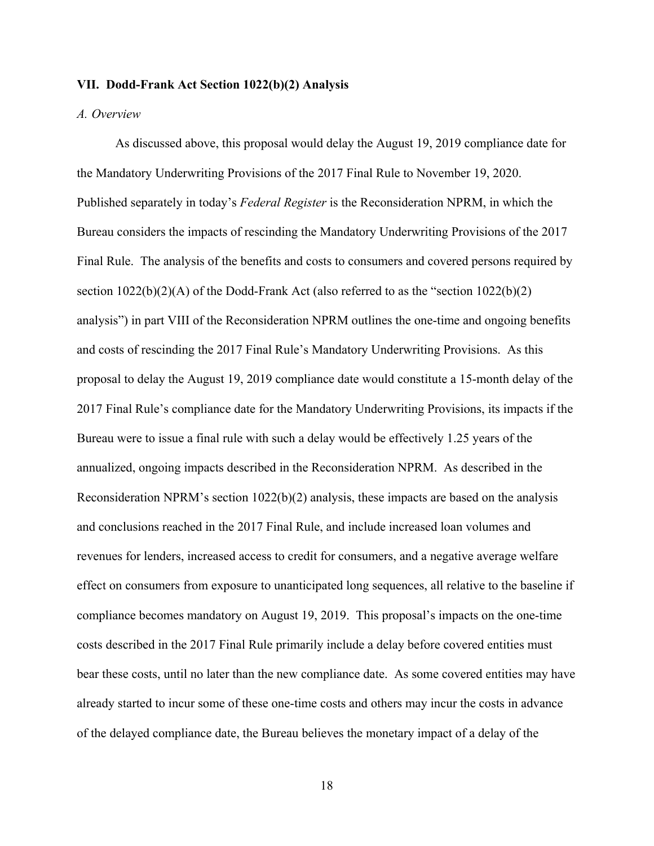#### **VII. Dodd-Frank Act Section 1022(b)(2) Analysis**

# *A. Overview*

As discussed above, this proposal would delay the August 19, 2019 compliance date for the Mandatory Underwriting Provisions of the 2017 Final Rule to November 19, 2020. Published separately in today's *Federal Register* is the Reconsideration NPRM, in which the Bureau considers the impacts of rescinding the Mandatory Underwriting Provisions of the 2017 Final Rule. The analysis of the benefits and costs to consumers and covered persons required by section  $1022(b)(2)(A)$  of the Dodd-Frank Act (also referred to as the "section  $1022(b)(2)$ ) analysis") in part VIII of the Reconsideration NPRM outlines the one-time and ongoing benefits and costs of rescinding the 2017 Final Rule's Mandatory Underwriting Provisions. As this proposal to delay the August 19, 2019 compliance date would constitute a 15-month delay of the 2017 Final Rule's compliance date for the Mandatory Underwriting Provisions, its impacts if the Bureau were to issue a final rule with such a delay would be effectively 1.25 years of the annualized, ongoing impacts described in the Reconsideration NPRM. As described in the Reconsideration NPRM's section 1022(b)(2) analysis, these impacts are based on the analysis and conclusions reached in the 2017 Final Rule, and include increased loan volumes and revenues for lenders, increased access to credit for consumers, and a negative average welfare effect on consumers from exposure to unanticipated long sequences, all relative to the baseline if compliance becomes mandatory on August 19, 2019. This proposal's impacts on the one-time costs described in the 2017 Final Rule primarily include a delay before covered entities must bear these costs, until no later than the new compliance date. As some covered entities may have already started to incur some of these one-time costs and others may incur the costs in advance of the delayed compliance date, the Bureau believes the monetary impact of a delay of the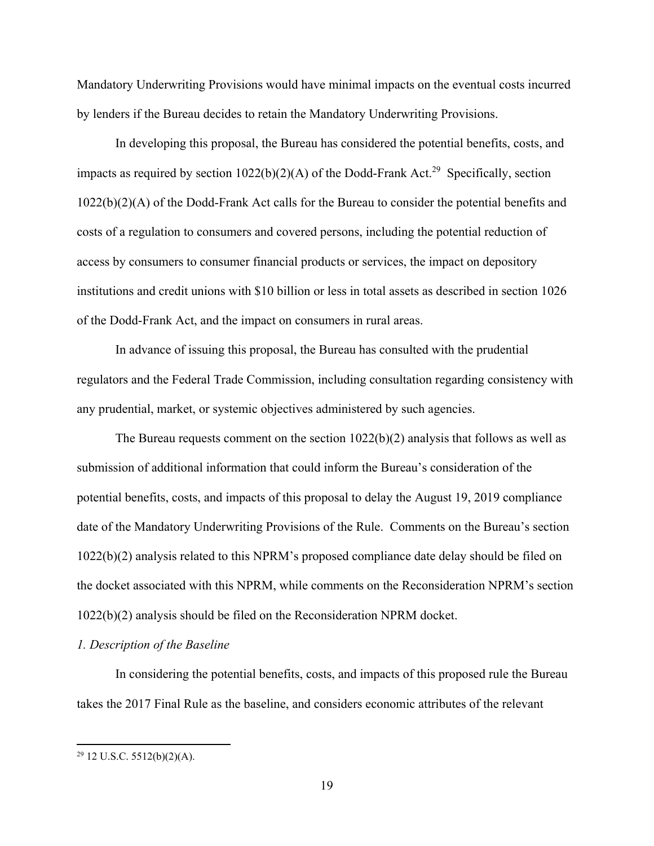Mandatory Underwriting Provisions would have minimal impacts on the eventual costs incurred by lenders if the Bureau decides to retain the Mandatory Underwriting Provisions.

In developing this proposal, the Bureau has considered the potential benefits, costs, and impacts as required by section  $1022(b)(2)(A)$  of the Dodd-Frank Act.<sup>29</sup> Specifically, section 1022(b)(2)(A) of the Dodd-Frank Act calls for the Bureau to consider the potential benefits and costs of a regulation to consumers and covered persons, including the potential reduction of access by consumers to consumer financial products or services, the impact on depository institutions and credit unions with \$10 billion or less in total assets as described in section 1026 of the Dodd-Frank Act, and the impact on consumers in rural areas.

In advance of issuing this proposal, the Bureau has consulted with the prudential regulators and the Federal Trade Commission, including consultation regarding consistency with any prudential, market, or systemic objectives administered by such agencies.

The Bureau requests comment on the section  $1022(b)(2)$  analysis that follows as well as submission of additional information that could inform the Bureau's consideration of the potential benefits, costs, and impacts of this proposal to delay the August 19, 2019 compliance date of the Mandatory Underwriting Provisions of the Rule. Comments on the Bureau's section 1022(b)(2) analysis related to this NPRM's proposed compliance date delay should be filed on the docket associated with this NPRM, while comments on the Reconsideration NPRM's section 1022(b)(2) analysis should be filed on the Reconsideration NPRM docket.

# *1. Description of the Baseline*

In considering the potential benefits, costs, and impacts of this proposed rule the Bureau takes the 2017 Final Rule as the baseline, and considers economic attributes of the relevant

<sup>29 12</sup> U.S.C. 5512(b)(2)(A).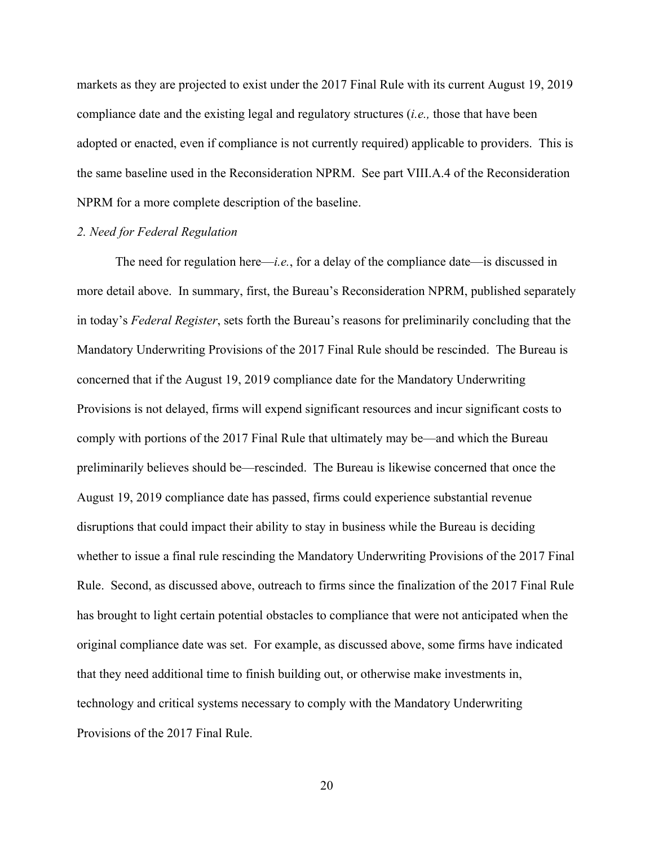markets as they are projected to exist under the 2017 Final Rule with its current August 19, 2019 compliance date and the existing legal and regulatory structures (*i.e.,* those that have been adopted or enacted, even if compliance is not currently required) applicable to providers. This is the same baseline used in the Reconsideration NPRM. See part VIII.A.4 of the Reconsideration NPRM for a more complete description of the baseline.

# *2. Need for Federal Regulation*

The need for regulation here—*i.e.*, for a delay of the compliance date—is discussed in more detail above. In summary, first, the Bureau's Reconsideration NPRM, published separately in today's *Federal Register*, sets forth the Bureau's reasons for preliminarily concluding that the Mandatory Underwriting Provisions of the 2017 Final Rule should be rescinded. The Bureau is concerned that if the August 19, 2019 compliance date for the Mandatory Underwriting Provisions is not delayed, firms will expend significant resources and incur significant costs to comply with portions of the 2017 Final Rule that ultimately may be—and which the Bureau preliminarily believes should be—rescinded. The Bureau is likewise concerned that once the August 19, 2019 compliance date has passed, firms could experience substantial revenue disruptions that could impact their ability to stay in business while the Bureau is deciding whether to issue a final rule rescinding the Mandatory Underwriting Provisions of the 2017 Final Rule. Second, as discussed above, outreach to firms since the finalization of the 2017 Final Rule has brought to light certain potential obstacles to compliance that were not anticipated when the original compliance date was set. For example, as discussed above, some firms have indicated that they need additional time to finish building out, or otherwise make investments in, technology and critical systems necessary to comply with the Mandatory Underwriting Provisions of the 2017 Final Rule.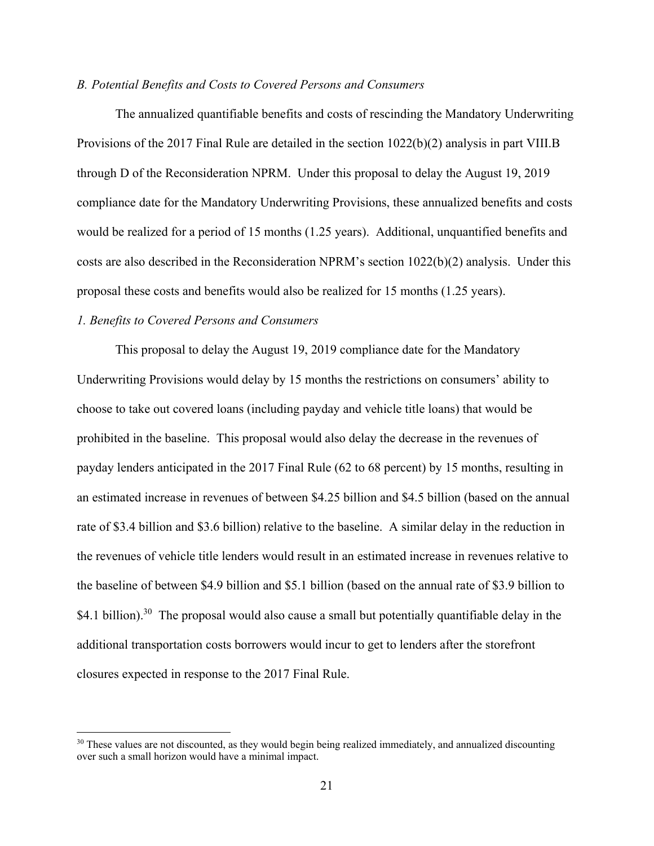# *B. Potential Benefits and Costs to Covered Persons and Consumers*

The annualized quantifiable benefits and costs of rescinding the Mandatory Underwriting Provisions of the 2017 Final Rule are detailed in the section 1022(b)(2) analysis in part VIII.B through D of the Reconsideration NPRM. Under this proposal to delay the August 19, 2019 compliance date for the Mandatory Underwriting Provisions, these annualized benefits and costs would be realized for a period of 15 months (1.25 years). Additional, unquantified benefits and costs are also described in the Reconsideration NPRM's section 1022(b)(2) analysis. Under this proposal these costs and benefits would also be realized for 15 months (1.25 years).

## *1. Benefits to Covered Persons and Consumers*

 $\overline{a}$ 

This proposal to delay the August 19, 2019 compliance date for the Mandatory Underwriting Provisions would delay by 15 months the restrictions on consumers' ability to choose to take out covered loans (including payday and vehicle title loans) that would be prohibited in the baseline. This proposal would also delay the decrease in the revenues of payday lenders anticipated in the 2017 Final Rule (62 to 68 percent) by 15 months, resulting in an estimated increase in revenues of between \$4.25 billion and \$4.5 billion (based on the annual rate of \$3.4 billion and \$3.6 billion) relative to the baseline. A similar delay in the reduction in the revenues of vehicle title lenders would result in an estimated increase in revenues relative to the baseline of between \$4.9 billion and \$5.1 billion (based on the annual rate of \$3.9 billion to \$4.1 billion).<sup>30</sup> The proposal would also cause a small but potentially quantifiable delay in the additional transportation costs borrowers would incur to get to lenders after the storefront closures expected in response to the 2017 Final Rule.

<sup>&</sup>lt;sup>30</sup> These values are not discounted, as they would begin being realized immediately, and annualized discounting over such a small horizon would have a minimal impact.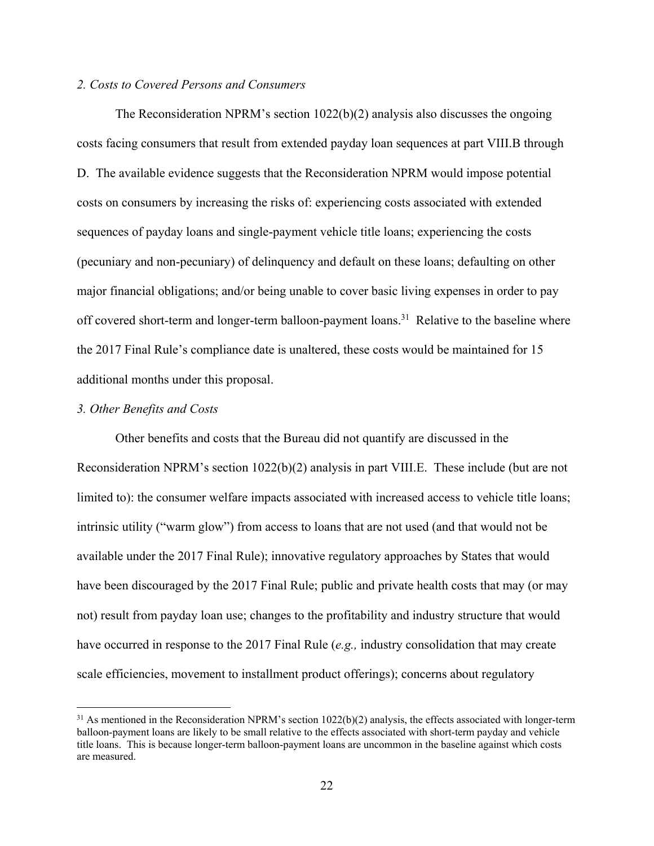# *2. Costs to Covered Persons and Consumers*

The Reconsideration NPRM's section  $1022(b)(2)$  analysis also discusses the ongoing costs facing consumers that result from extended payday loan sequences at part VIII.B through D. The available evidence suggests that the Reconsideration NPRM would impose potential costs on consumers by increasing the risks of: experiencing costs associated with extended sequences of payday loans and single-payment vehicle title loans; experiencing the costs (pecuniary and non-pecuniary) of delinquency and default on these loans; defaulting on other major financial obligations; and/or being unable to cover basic living expenses in order to pay off covered short-term and longer-term balloon-payment loans.<sup>31</sup> Relative to the baseline where the 2017 Final Rule's compliance date is unaltered, these costs would be maintained for 15 additional months under this proposal.

# *3. Other Benefits and Costs*

 $\overline{a}$ 

Other benefits and costs that the Bureau did not quantify are discussed in the Reconsideration NPRM's section 1022(b)(2) analysis in part VIII.E. These include (but are not limited to): the consumer welfare impacts associated with increased access to vehicle title loans; intrinsic utility ("warm glow") from access to loans that are not used (and that would not be available under the 2017 Final Rule); innovative regulatory approaches by States that would have been discouraged by the 2017 Final Rule; public and private health costs that may (or may not) result from payday loan use; changes to the profitability and industry structure that would have occurred in response to the 2017 Final Rule (*e.g.,* industry consolidation that may create scale efficiencies, movement to installment product offerings); concerns about regulatory

 $31$  As mentioned in the Reconsideration NPRM's section  $1022(b)(2)$  analysis, the effects associated with longer-term balloon-payment loans are likely to be small relative to the effects associated with short-term payday and vehicle title loans. This is because longer-term balloon-payment loans are uncommon in the baseline against which costs are measured.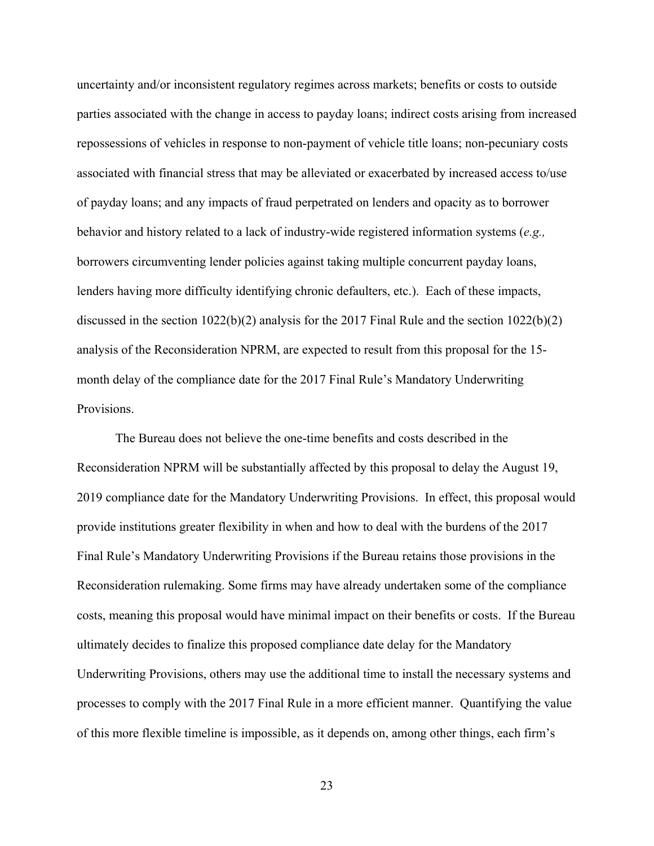uncertainty and/or inconsistent regulatory regimes across markets; benefits or costs to outside parties associated with the change in access to payday loans; indirect costs arising from increased repossessions of vehicles in response to non-payment of vehicle title loans; non-pecuniary costs associated with financial stress that may be alleviated or exacerbated by increased access to/use of payday loans; and any impacts of fraud perpetrated on lenders and opacity as to borrower behavior and history related to a lack of industry-wide registered information systems (*e.g.,* borrowers circumventing lender policies against taking multiple concurrent payday loans, lenders having more difficulty identifying chronic defaulters, etc.). Each of these impacts, discussed in the section 1022(b)(2) analysis for the 2017 Final Rule and the section 1022(b)(2) analysis of the Reconsideration NPRM, are expected to result from this proposal for the 15 month delay of the compliance date for the 2017 Final Rule's Mandatory Underwriting Provisions.

The Bureau does not believe the one-time benefits and costs described in the Reconsideration NPRM will be substantially affected by this proposal to delay the August 19, 2019 compliance date for the Mandatory Underwriting Provisions. In effect, this proposal would provide institutions greater flexibility in when and how to deal with the burdens of the 2017 Final Rule's Mandatory Underwriting Provisions if the Bureau retains those provisions in the Reconsideration rulemaking. Some firms may have already undertaken some of the compliance costs, meaning this proposal would have minimal impact on their benefits or costs. If the Bureau ultimately decides to finalize this proposed compliance date delay for the Mandatory Underwriting Provisions, others may use the additional time to install the necessary systems and processes to comply with the 2017 Final Rule in a more efficient manner. Quantifying the value of this more flexible timeline is impossible, as it depends on, among other things, each firm's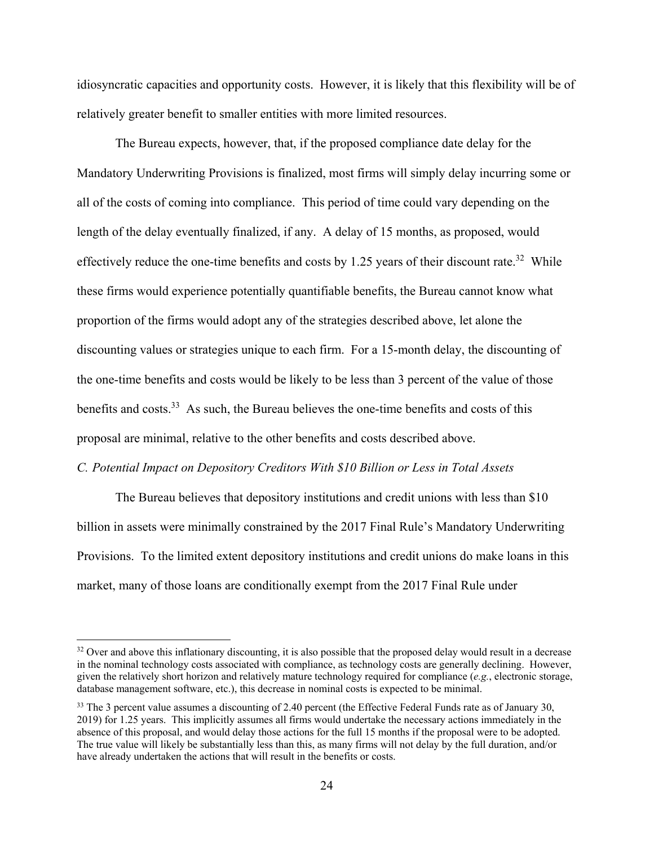idiosyncratic capacities and opportunity costs. However, it is likely that this flexibility will be of relatively greater benefit to smaller entities with more limited resources.

The Bureau expects, however, that, if the proposed compliance date delay for the Mandatory Underwriting Provisions is finalized, most firms will simply delay incurring some or all of the costs of coming into compliance. This period of time could vary depending on the length of the delay eventually finalized, if any. A delay of 15 months, as proposed, would effectively reduce the one-time benefits and costs by 1.25 years of their discount rate.<sup>32</sup> While these firms would experience potentially quantifiable benefits, the Bureau cannot know what proportion of the firms would adopt any of the strategies described above, let alone the discounting values or strategies unique to each firm. For a 15-month delay, the discounting of the one-time benefits and costs would be likely to be less than 3 percent of the value of those benefits and costs.<sup>33</sup> As such, the Bureau believes the one-time benefits and costs of this proposal are minimal, relative to the other benefits and costs described above.

#### *C. Potential Impact on Depository Creditors With \$10 Billion or Less in Total Assets*

 $\overline{a}$ 

The Bureau believes that depository institutions and credit unions with less than \$10 billion in assets were minimally constrained by the 2017 Final Rule's Mandatory Underwriting Provisions. To the limited extent depository institutions and credit unions do make loans in this market, many of those loans are conditionally exempt from the 2017 Final Rule under

 $32$  Over and above this inflationary discounting, it is also possible that the proposed delay would result in a decrease in the nominal technology costs associated with compliance, as technology costs are generally declining. However, given the relatively short horizon and relatively mature technology required for compliance (*e.g.*, electronic storage, database management software, etc.), this decrease in nominal costs is expected to be minimal.

<sup>&</sup>lt;sup>33</sup> The 3 percent value assumes a discounting of 2.40 percent (the Effective Federal Funds rate as of January 30, 2019) for 1.25 years. This implicitly assumes all firms would undertake the necessary actions immediately in the absence of this proposal, and would delay those actions for the full 15 months if the proposal were to be adopted. The true value will likely be substantially less than this, as many firms will not delay by the full duration, and/or have already undertaken the actions that will result in the benefits or costs.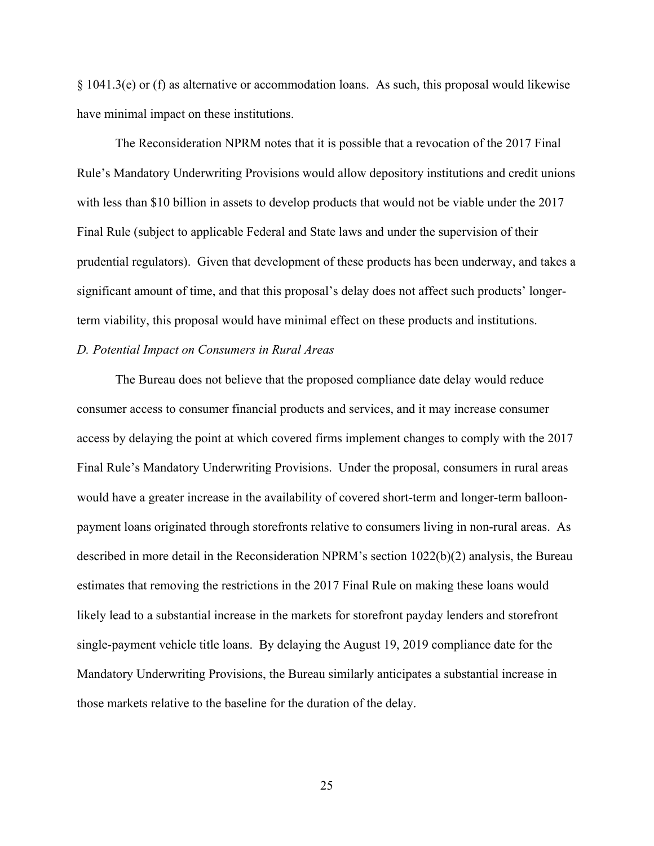§ 1041.3(e) or (f) as alternative or accommodation loans. As such, this proposal would likewise have minimal impact on these institutions.

The Reconsideration NPRM notes that it is possible that a revocation of the 2017 Final Rule's Mandatory Underwriting Provisions would allow depository institutions and credit unions with less than \$10 billion in assets to develop products that would not be viable under the 2017 Final Rule (subject to applicable Federal and State laws and under the supervision of their prudential regulators). Given that development of these products has been underway, and takes a significant amount of time, and that this proposal's delay does not affect such products' longerterm viability, this proposal would have minimal effect on these products and institutions.

# *D. Potential Impact on Consumers in Rural Areas*

The Bureau does not believe that the proposed compliance date delay would reduce consumer access to consumer financial products and services, and it may increase consumer access by delaying the point at which covered firms implement changes to comply with the 2017 Final Rule's Mandatory Underwriting Provisions. Under the proposal, consumers in rural areas would have a greater increase in the availability of covered short-term and longer-term balloonpayment loans originated through storefronts relative to consumers living in non-rural areas. As described in more detail in the Reconsideration NPRM's section 1022(b)(2) analysis, the Bureau estimates that removing the restrictions in the 2017 Final Rule on making these loans would likely lead to a substantial increase in the markets for storefront payday lenders and storefront single-payment vehicle title loans. By delaying the August 19, 2019 compliance date for the Mandatory Underwriting Provisions, the Bureau similarly anticipates a substantial increase in those markets relative to the baseline for the duration of the delay.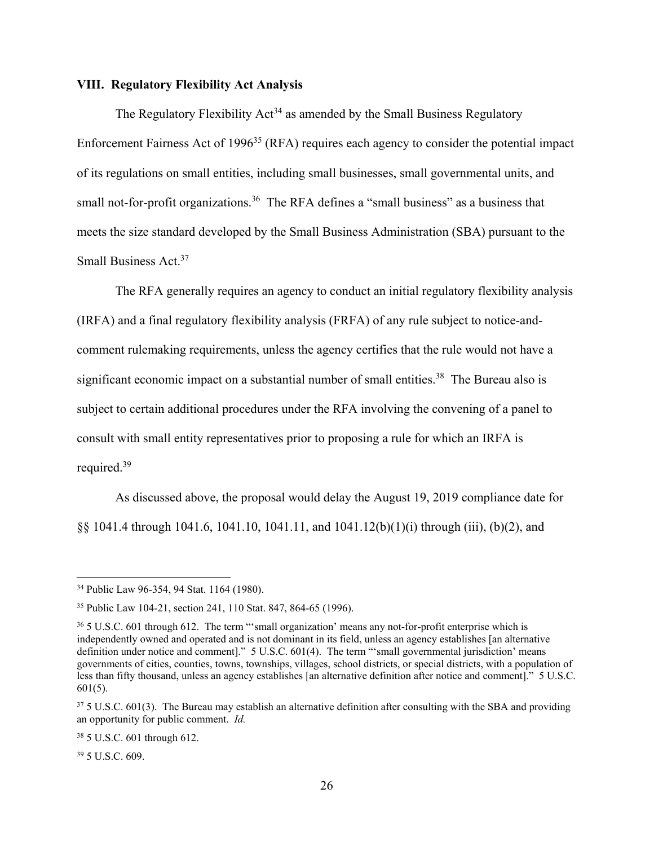# **VIII. Regulatory Flexibility Act Analysis**

The Regulatory Flexibility  $Act^{34}$  as amended by the Small Business Regulatory Enforcement Fairness Act of 1996<sup>35</sup> (RFA) requires each agency to consider the potential impact of its regulations on small entities, including small businesses, small governmental units, and small not-for-profit organizations.<sup>36</sup> The RFA defines a "small business" as a business that meets the size standard developed by the Small Business Administration (SBA) pursuant to the Small Business Act.<sup>37</sup>

The RFA generally requires an agency to conduct an initial regulatory flexibility analysis (IRFA) and a final regulatory flexibility analysis (FRFA) of any rule subject to notice-andcomment rulemaking requirements, unless the agency certifies that the rule would not have a significant economic impact on a substantial number of small entities.<sup>38</sup> The Bureau also is subject to certain additional procedures under the RFA involving the convening of a panel to consult with small entity representatives prior to proposing a rule for which an IRFA is required.39

As discussed above, the proposal would delay the August 19, 2019 compliance date for §§ 1041.4 through 1041.6, 1041.10, 1041.11, and 1041.12(b)(1)(i) through (iii), (b)(2), and

39 5 U.S.C. 609.

<sup>34</sup> Public Law 96-354, 94 Stat. 1164 (1980).

<sup>35</sup> Public Law 104-21, section 241, 110 Stat. 847, 864-65 (1996).

<sup>&</sup>lt;sup>36</sup> 5 U.S.C. 601 through 612. The term "'small organization' means any not-for-profit enterprise which is independently owned and operated and is not dominant in its field, unless an agency establishes [an alternative definition under notice and comment]." 5 U.S.C. 601(4). The term "'small governmental jurisdiction' means governments of cities, counties, towns, townships, villages, school districts, or special districts, with a population of less than fifty thousand, unless an agency establishes [an alternative definition after notice and comment]." 5 U.S.C. 601(5).

<sup>&</sup>lt;sup>37</sup> 5 U.S.C. 601(3). The Bureau may establish an alternative definition after consulting with the SBA and providing an opportunity for public comment. *Id.*

<sup>38 5</sup> U.S.C. 601 through 612.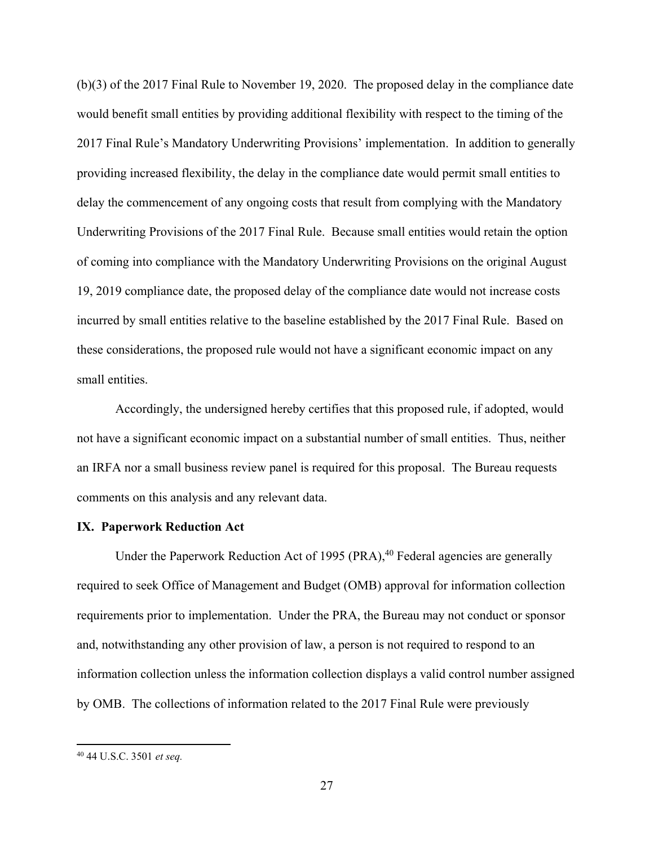(b)(3) of the 2017 Final Rule to November 19, 2020. The proposed delay in the compliance date would benefit small entities by providing additional flexibility with respect to the timing of the 2017 Final Rule's Mandatory Underwriting Provisions' implementation. In addition to generally providing increased flexibility, the delay in the compliance date would permit small entities to delay the commencement of any ongoing costs that result from complying with the Mandatory Underwriting Provisions of the 2017 Final Rule. Because small entities would retain the option of coming into compliance with the Mandatory Underwriting Provisions on the original August 19, 2019 compliance date, the proposed delay of the compliance date would not increase costs incurred by small entities relative to the baseline established by the 2017 Final Rule. Based on these considerations, the proposed rule would not have a significant economic impact on any small entities.

Accordingly, the undersigned hereby certifies that this proposed rule, if adopted, would not have a significant economic impact on a substantial number of small entities. Thus, neither an IRFA nor a small business review panel is required for this proposal. The Bureau requests comments on this analysis and any relevant data.

# **IX. Paperwork Reduction Act**

Under the Paperwork Reduction Act of 1995 (PRA),<sup>40</sup> Federal agencies are generally required to seek Office of Management and Budget (OMB) approval for information collection requirements prior to implementation. Under the PRA, the Bureau may not conduct or sponsor and, notwithstanding any other provision of law, a person is not required to respond to an information collection unless the information collection displays a valid control number assigned by OMB. The collections of information related to the 2017 Final Rule were previously

<sup>40 44</sup> U.S.C. 3501 *et seq.*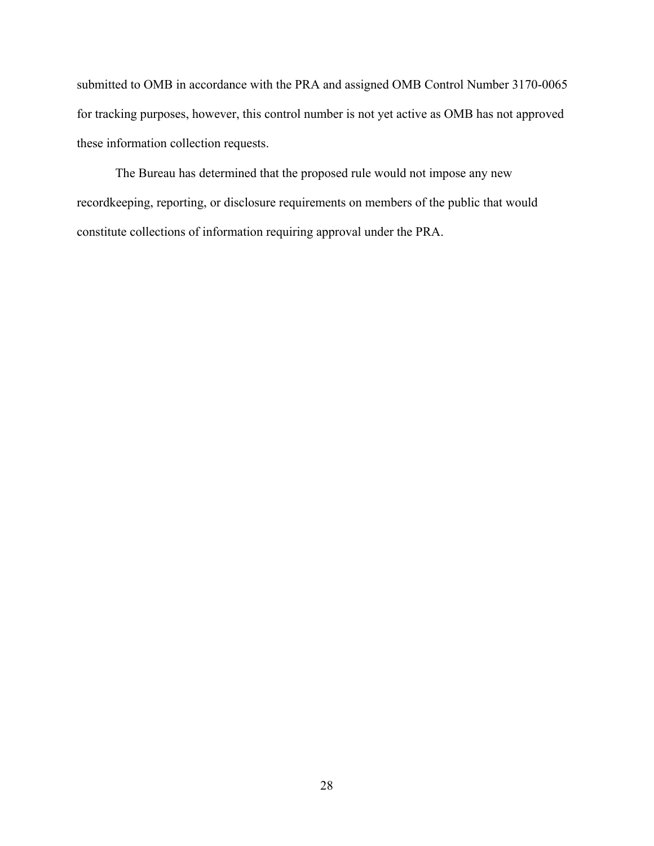submitted to OMB in accordance with the PRA and assigned OMB Control Number 3170-0065 for tracking purposes, however, this control number is not yet active as OMB has not approved these information collection requests.

The Bureau has determined that the proposed rule would not impose any new recordkeeping, reporting, or disclosure requirements on members of the public that would constitute collections of information requiring approval under the PRA.